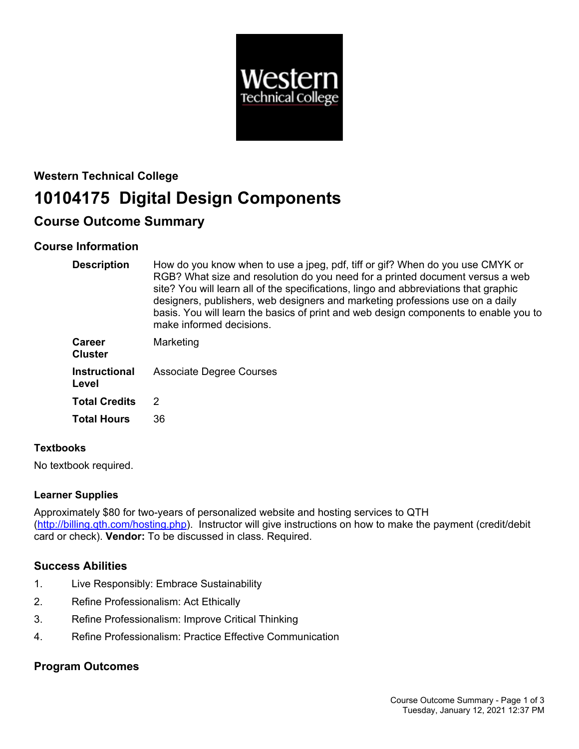

# **Western Technical College 10104175 Digital Design Components**

# **Course Outcome Summary**

# **Course Information**

| <b>Description</b>              | How do you know when to use a jpeg, pdf, tiff or gif? When do you use CMYK or<br>RGB? What size and resolution do you need for a printed document versus a web<br>site? You will learn all of the specifications, lingo and abbreviations that graphic<br>designers, publishers, web designers and marketing professions use on a daily<br>basis. You will learn the basics of print and web design components to enable you to<br>make informed decisions. |
|---------------------------------|-------------------------------------------------------------------------------------------------------------------------------------------------------------------------------------------------------------------------------------------------------------------------------------------------------------------------------------------------------------------------------------------------------------------------------------------------------------|
| <b>Career</b><br><b>Cluster</b> | Marketing                                                                                                                                                                                                                                                                                                                                                                                                                                                   |
| <b>Instructional</b><br>Level   | <b>Associate Degree Courses</b>                                                                                                                                                                                                                                                                                                                                                                                                                             |
| <b>Total Credits</b>            | 2                                                                                                                                                                                                                                                                                                                                                                                                                                                           |
| <b>Total Hours</b>              | 36                                                                                                                                                                                                                                                                                                                                                                                                                                                          |

# **Textbooks**

No textbook required.

# **Learner Supplies**

Approximately \$80 for two-years of personalized website and hosting services to QTH (<http://billing.qth.com/hosting.php>). Instructor will give instructions on how to make the payment (credit/debit card or check). **Vendor:** To be discussed in class. Required.

# **Success Abilities**

- 1. Live Responsibly: Embrace Sustainability
- 2. Refine Professionalism: Act Ethically
- 3. Refine Professionalism: Improve Critical Thinking
- 4. Refine Professionalism: Practice Effective Communication

# **Program Outcomes**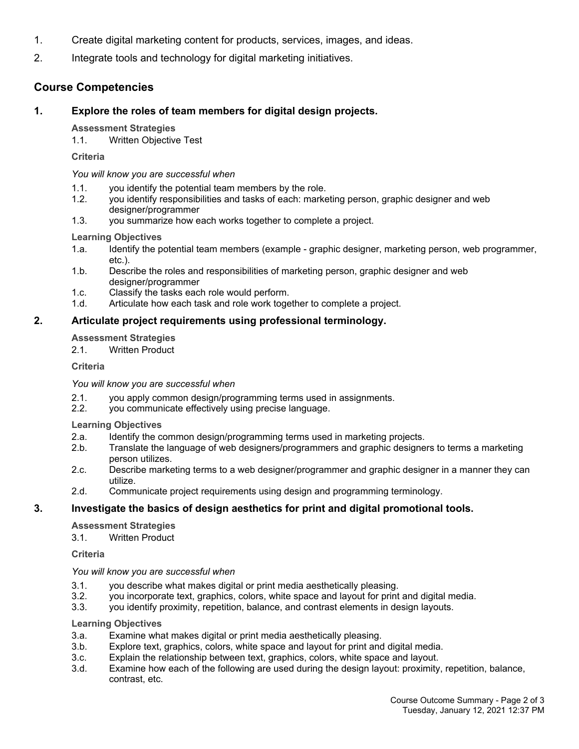- 1. Create digital marketing content for products, services, images, and ideas.
- 2. Integrate tools and technology for digital marketing initiatives.

# **Course Competencies**

# **1. Explore the roles of team members for digital design projects.**

#### **Assessment Strategies**

1.1. Written Objective Test

**Criteria**

*You will know you are successful when*

- 1.1. you identify the potential team members by the role.
- 1.2. you identify responsibilities and tasks of each: marketing person, graphic designer and web designer/programmer
- 1.3. you summarize how each works together to complete a project.

# **Learning Objectives**

- 1.a. Identify the potential team members (example graphic designer, marketing person, web programmer, etc.).
- 1.b. Describe the roles and responsibilities of marketing person, graphic designer and web designer/programmer
- 1.c. Classify the tasks each role would perform.
- 1.d. Articulate how each task and role work together to complete a project.

# **2. Articulate project requirements using professional terminology.**

#### **Assessment Strategies**

2.1. Written Product

#### **Criteria**

#### *You will know you are successful when*

- 2.1. you apply common design/programming terms used in assignments.
- 2.2. you communicate effectively using precise language.

# **Learning Objectives**

- 2.a. Identify the common design/programming terms used in marketing projects.
- 2.b. Translate the language of web designers/programmers and graphic designers to terms a marketing person utilizes.
- 2.c. Describe marketing terms to a web designer/programmer and graphic designer in a manner they can utilize.
- 2.d. Communicate project requirements using design and programming terminology.

# **3. Investigate the basics of design aesthetics for print and digital promotional tools.**

# **Assessment Strategies**

3.1. Written Product

**Criteria**

#### *You will know you are successful when*

- 3.1. you describe what makes digital or print media aesthetically pleasing.
- 3.2. you incorporate text, graphics, colors, white space and layout for print and digital media.
- 3.3. you identify proximity, repetition, balance, and contrast elements in design layouts.

#### **Learning Objectives**

- 3.a. Examine what makes digital or print media aesthetically pleasing.
- 3.b. Explore text, graphics, colors, white space and layout for print and digital media.
- 3.c. Explain the relationship between text, graphics, colors, white space and layout.
- 3.d. Examine how each of the following are used during the design layout: proximity, repetition, balance, contrast, etc.